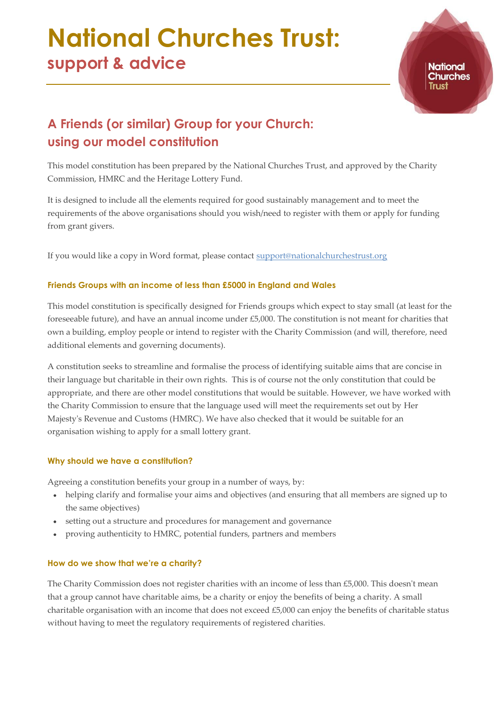# **National Churches Trust: support & advice**

**National Churches** 

# **A Friends (or similar) Group for your Church: using our model constitution**

This model constitution has been prepared by the National Churches Trust, and approved by the Charity Commission, HMRC and the Heritage Lottery Fund.

It is designed to include all the elements required for good sustainably management and to meet the requirements of the above organisations should you wish/need to register with them or apply for funding from grant givers.

If you would like a copy in Word format, please contact [support@nationalchurchestrust.org](mailto:support@nationalchurchestrust.org)

# **Friends Groups with an income of less than £5000 in England and Wales**

This model constitution is specifically designed for Friends groups which expect to stay small (at least for the foreseeable future), and have an annual income under £5,000. The constitution is not meant for charities that own a building, employ people or intend to register with the Charity Commission (and will, therefore, need additional elements and governing documents).

A constitution seeks to streamline and formalise the process of identifying suitable aims that are concise in their language but charitable in their own rights. This is of course not the only constitution that could be appropriate, and there are other model constitutions that would be suitable. However, we have worked with the Charity Commission to ensure that the language used will meet the requirements set out by Her Majesty's Revenue and Customs (HMRC). We have also checked that it would be suitable for an organisation wishing to apply for a small lottery grant.

# **Why should we have a constitution?**

Agreeing a constitution benefits your group in a number of ways, by:

- helping clarify and formalise your aims and objectives (and ensuring that all members are signed up to the same objectives)
- setting out a structure and procedures for management and governance
- proving authenticity to HMRC, potential funders, partners and members  $\bullet$

# **How do we show that we're a charity?**

The Charity Commission does not register charities with an income of less than £5,000. This doesn't mean that a group cannot have charitable aims, be a charity or enjoy the benefits of being a charity. A small charitable organisation with an income that does not exceed £5,000 can enjoy the benefits of charitable status without having to meet the regulatory requirements of registered charities.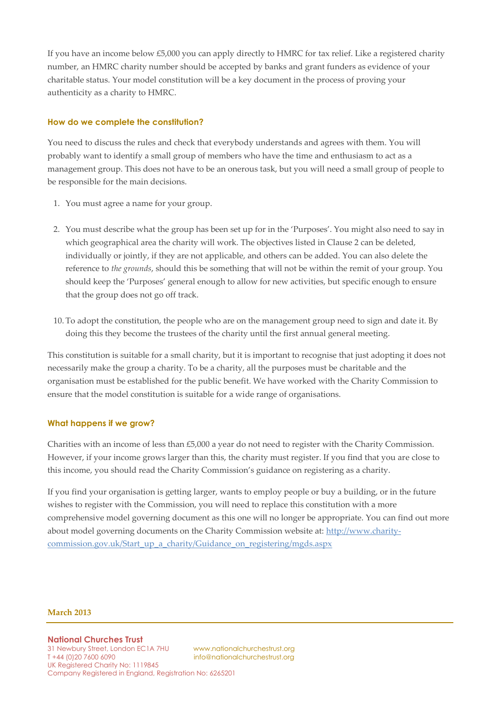If you have an income below £5,000 you can apply directly to HMRC for tax relief. Like a registered charity number, an HMRC charity number should be accepted by banks and grant funders as evidence of your charitable status. Your model constitution will be a key document in the process of proving your authenticity as a charity to HMRC.

#### **How do we complete the constitution?**

You need to discuss the rules and check that everybody understands and agrees with them. You will probably want to identify a small group of members who have the time and enthusiasm to act as a management group. This does not have to be an onerous task, but you will need a small group of people to be responsible for the main decisions.

- 1. You must agree a name for your group.
- 2. You must describe what the group has been set up for in the 'Purposes'. You might also need to say in which geographical area the charity will work. The objectives listed in Clause 2 can be deleted, individually or jointly, if they are not applicable, and others can be added. You can also delete the reference to *the grounds*, should this be something that will not be within the remit of your group. You should keep the 'Purposes' general enough to allow for new activities, but specific enough to ensure that the group does not go off track.
- 10. To adopt the constitution, the people who are on the management group need to sign and date it. By doing this they become the trustees of the charity until the first annual general meeting.

This constitution is suitable for a small charity, but it is important to recognise that just adopting it does not necessarily make the group a charity. To be a charity, all the purposes must be charitable and the organisation must be established for the public benefit. We have worked with the Charity Commission to ensure that the model constitution is suitable for a wide range of organisations.

#### **What happens if we grow?**

Charities with an income of less than £5,000 a year do not need to register with the Charity Commission. However, if your income grows larger than this, the charity must register. If you find that you are close to this income, you should read the Charity Commission's guidance on registering as a charity.

If you find your organisation is getting larger, wants to employ people or buy a building, or in the future wishes to register with the Commission, you will need to replace this constitution with a more comprehensive model governing document as this one will no longer be appropriate. You can find out more about model governing documents on the Charity Commission website at: [http://www.charity](http://www.charity-commission.gov.uk/Start_up_a_charity/Guidance_on_registering/mgds.aspx)[commission.gov.uk/Start\\_up\\_a\\_charity/Guidance\\_on\\_registering/mgds.aspx](http://www.charity-commission.gov.uk/Start_up_a_charity/Guidance_on_registering/mgds.aspx)

#### **March 2013**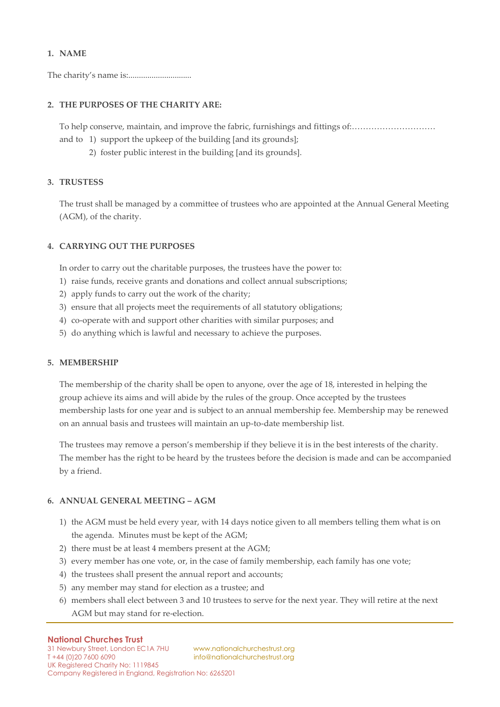#### **1. NAME**

The charity's name is:..............................

#### **2. THE PURPOSES OF THE CHARITY ARE:**

To help conserve, maintain, and improve the fabric, furnishings and fittings of:…………………………

- and to 1) support the upkeep of the building [and its grounds];
	- 2) foster public interest in the building [and its grounds].

#### **3. TRUSTESS**

The trust shall be managed by a committee of trustees who are appointed at the Annual General Meeting (AGM), of the charity.

#### **4. CARRYING OUT THE PURPOSES**

In order to carry out the charitable purposes, the trustees have the power to:

- 1) raise funds, receive grants and donations and collect annual subscriptions;
- 2) apply funds to carry out the work of the charity;
- 3) ensure that all projects meet the requirements of all statutory obligations;
- 4) co-operate with and support other charities with similar purposes; and
- 5) do anything which is lawful and necessary to achieve the purposes.

#### **5. MEMBERSHIP**

The membership of the charity shall be open to anyone, over the age of 18, interested in helping the group achieve its aims and will abide by the rules of the group. Once accepted by the trustees membership lasts for one year and is subject to an annual membership fee. Membership may be renewed on an annual basis and trustees will maintain an up-to-date membership list.

The trustees may remove a person's membership if they believe it is in the best interests of the charity. The member has the right to be heard by the trustees before the decision is made and can be accompanied by a friend.

#### **6. ANNUAL GENERAL MEETING – AGM**

- 1) the AGM must be held every year, with 14 days notice given to all members telling them what is on the agenda. Minutes must be kept of the AGM;
- 2) there must be at least 4 members present at the AGM;
- 3) every member has one vote, or, in the case of family membership, each family has one vote;
- 4) the trustees shall present the annual report and accounts;
- 5) any member may stand for election as a trustee; and
- 6) members shall elect between 3 and 10 trustees to serve for the next year. They will retire at the next AGM but may stand for re-election.